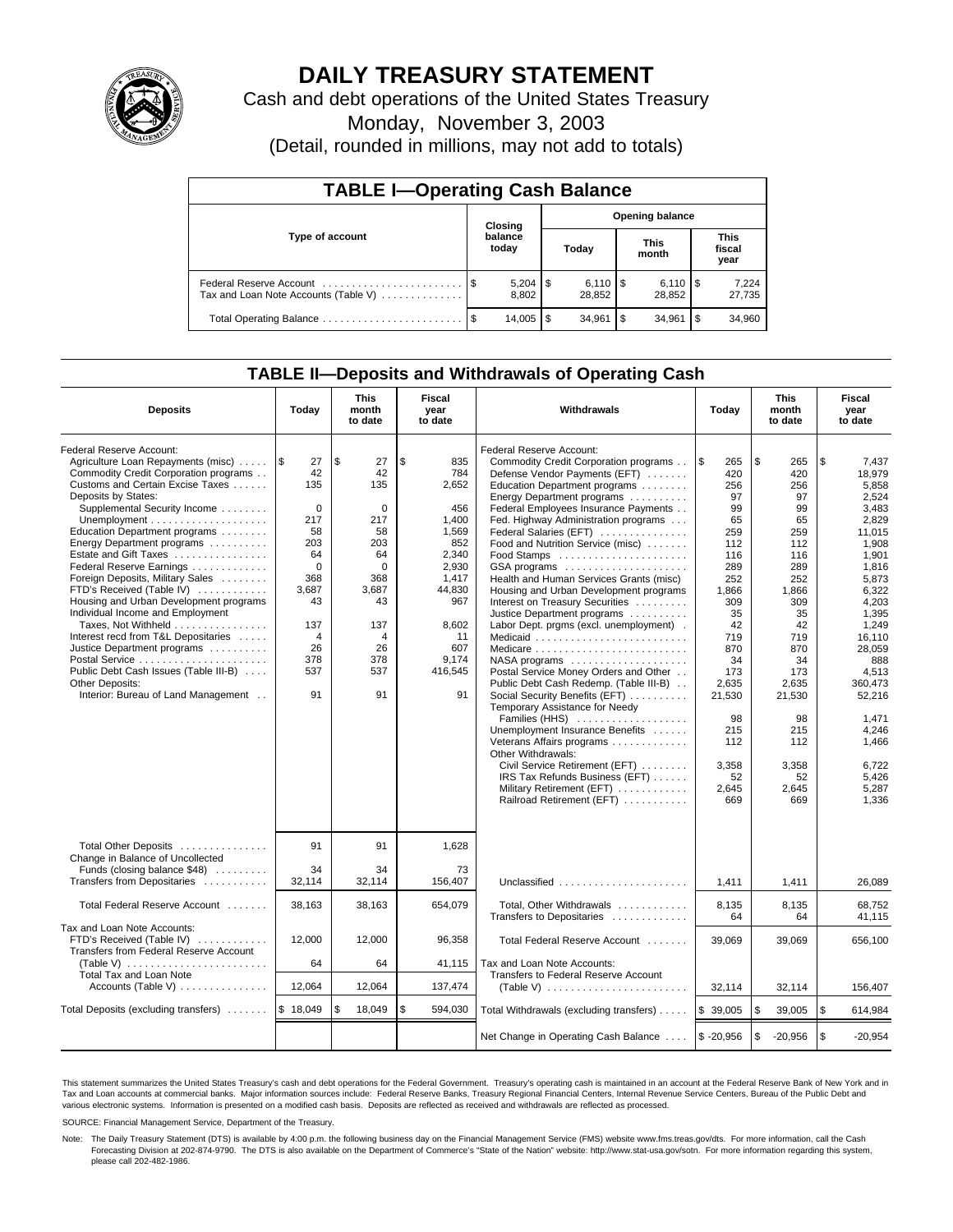

# **DAILY TREASURY STATEMENT**

Cash and debt operations of the United States Treasury

Monday, November 3, 2003

(Detail, rounded in millions, may not add to totals)

| <b>TABLE I-Operating Cash Balance</b>                           |  |                  |   |                              |    |                              |      |                               |  |  |
|-----------------------------------------------------------------|--|------------------|---|------------------------------|----|------------------------------|------|-------------------------------|--|--|
|                                                                 |  | Closing          |   | <b>Opening balance</b>       |    |                              |      |                               |  |  |
| Type of account                                                 |  | balance<br>today |   | Today                        |    | <b>This</b><br>month         |      | <b>This</b><br>fiscal<br>year |  |  |
| Federal Reserve Account<br>Tax and Loan Note Accounts (Table V) |  | 8,802            |   | $6,110$ $\sqrt{5}$<br>28,852 |    | $6,110$ $\sqrt{5}$<br>28.852 |      | 7,224<br>27,735               |  |  |
| Total Operating Balance                                         |  | 14,005           | S | 34.961                       | \$ | 34.961                       | l \$ | 34,960                        |  |  |

## **TABLE II—Deposits and Withdrawals of Operating Cash**

| <b>Deposits</b>                                                                                                                                                                                                                     | Today                                              | <b>This</b><br>month<br>to date                   | Fiscal<br>year<br>to date                          | <b>Withdrawals</b>                                                                                                                                                                                                                                                          | Today                                                  | <b>This</b><br>month<br>to date                  | Fiscal<br>year<br>to date                                           |
|-------------------------------------------------------------------------------------------------------------------------------------------------------------------------------------------------------------------------------------|----------------------------------------------------|---------------------------------------------------|----------------------------------------------------|-----------------------------------------------------------------------------------------------------------------------------------------------------------------------------------------------------------------------------------------------------------------------------|--------------------------------------------------------|--------------------------------------------------|---------------------------------------------------------------------|
| Federal Reserve Account:<br>Agriculture Loan Repayments (misc)<br>Commodity Credit Corporation programs<br>Customs and Certain Excise Taxes<br>Deposits by States:<br>Supplemental Security Income<br>Education Department programs | 1\$<br>27<br>42<br>135<br>$\mathbf 0$<br>217<br>58 | \$<br>27<br>42<br>135<br>$\mathbf 0$<br>217<br>58 | \$<br>835<br>784<br>2,652<br>456<br>1.400<br>1,569 | Federal Reserve Account:<br>Commodity Credit Corporation programs<br>Defense Vendor Payments (EFT)<br>Education Department programs<br>Energy Department programs<br>Federal Employees Insurance Payments<br>Fed. Highway Administration programs<br>Federal Salaries (EFT) | <b>S</b><br>265<br>420<br>256<br>97<br>99<br>65<br>259 | \$<br>265<br>420<br>256<br>97<br>99<br>65<br>259 | \$<br>7,437<br>18.979<br>5.858<br>2,524<br>3,483<br>2,829<br>11,015 |
| Energy Department programs<br>Estate and Gift Taxes<br>Federal Reserve Earnings<br>Foreign Deposits, Military Sales<br>FTD's Received (Table IV)<br>Housing and Urban Development programs<br>Individual Income and Employment      | 203<br>64<br>$\Omega$<br>368<br>3,687<br>43        | 203<br>64<br>$\Omega$<br>368<br>3,687<br>43       | 852<br>2.340<br>2,930<br>1,417<br>44,830<br>967    | Food and Nutrition Service (misc)<br>GSA programs<br>Health and Human Services Grants (misc)<br>Housing and Urban Development programs<br>Interest on Treasury Securities<br>Justice Department programs                                                                    | 112<br>116<br>289<br>252<br>1,866<br>309<br>35         | 112<br>116<br>289<br>252<br>1.866<br>309<br>35   | 1,908<br>1.901<br>1,816<br>5,873<br>6,322<br>4,203<br>1,395         |
| Taxes, Not Withheld<br>Interest recd from T&L Depositaries<br>Justice Department programs<br>Public Debt Cash Issues (Table III-B)<br><b>Other Deposits:</b><br>Interior: Bureau of Land Management                                 | 137<br>$\overline{4}$<br>26<br>378<br>537<br>91    | 137<br>4<br>26<br>378<br>537<br>91                | 8,602<br>11<br>607<br>9.174<br>416,545<br>91       | Labor Dept. prgms (excl. unemployment).<br>Medicare<br>Postal Service Money Orders and Other<br>Public Debt Cash Redemp. (Table III-B)<br>Social Security Benefits (EFT)                                                                                                    | 42<br>719<br>870<br>34<br>173<br>2,635<br>21,530       | 42<br>719<br>870<br>34<br>173<br>2,635<br>21,530 | 1,249<br>16.110<br>28,059<br>888<br>4.513<br>360,473<br>52,216      |
|                                                                                                                                                                                                                                     |                                                    |                                                   |                                                    | Temporary Assistance for Needy<br>Families (HHS)<br>Unemployment Insurance Benefits<br>Veterans Affairs programs<br>Other Withdrawals:<br>Civil Service Retirement (EFT)<br>IRS Tax Refunds Business (EFT)<br>Military Retirement (EFT)<br>Railroad Retirement (EFT)        | 98<br>215<br>112<br>3,358<br>52<br>2,645<br>669        | 98<br>215<br>112<br>3,358<br>52<br>2,645<br>669  | 1.471<br>4,246<br>1,466<br>6,722<br>5,426<br>5,287<br>1.336         |
| Total Other Deposits<br>Change in Balance of Uncollected<br>Funds (closing balance \$48)<br>Transfers from Depositaries                                                                                                             | 91<br>34<br>32.114                                 | 91<br>34<br>32.114                                | 1,628<br>73<br>156.407                             |                                                                                                                                                                                                                                                                             |                                                        |                                                  |                                                                     |
| Total Federal Reserve Account                                                                                                                                                                                                       | 38,163                                             | 38,163                                            | 654,079                                            | Unclassified<br>Total, Other Withdrawals                                                                                                                                                                                                                                    | 1.411<br>8,135                                         | 1,411<br>8,135                                   | 26.089<br>68,752                                                    |
| Tax and Loan Note Accounts:<br>FTD's Received (Table IV)<br>Transfers from Federal Reserve Account<br>(Table V) $\ldots \ldots \ldots \ldots \ldots \ldots \ldots$                                                                  | 12,000<br>64                                       | 12,000<br>64                                      | 96,358<br>41,115                                   | Transfers to Depositaries<br>Total Federal Reserve Account<br>Tax and Loan Note Accounts:                                                                                                                                                                                   | 64<br>39,069                                           | 64<br>39,069                                     | 41.115<br>656,100                                                   |
| <b>Total Tax and Loan Note</b><br>Accounts (Table V)                                                                                                                                                                                | 12,064                                             | 12,064                                            | 137,474                                            | Transfers to Federal Reserve Account<br>(Table V) $\ldots \ldots \ldots \ldots \ldots \ldots \ldots$                                                                                                                                                                        | 32,114                                                 | 32,114                                           | 156,407                                                             |
| Total Deposits (excluding transfers)                                                                                                                                                                                                | \$18,049                                           | \$<br>18,049                                      | \$<br>594,030                                      | Total Withdrawals (excluding transfers)                                                                                                                                                                                                                                     | \$39,005                                               | \$<br>39,005                                     | <b>S</b><br>614,984                                                 |
|                                                                                                                                                                                                                                     |                                                    |                                                   |                                                    | Net Change in Operating Cash Balance                                                                                                                                                                                                                                        | $$ -20,956$                                            | \$<br>$-20,956$                                  | l \$<br>$-20,954$                                                   |

This statement summarizes the United States Treasury's cash and debt operations for the Federal Government. Treasury's operating cash is maintained in an account at the Federal Reserve Bank of New York and in Tax and Loan accounts at commercial banks. Major information sources include: Federal Reserve Banks, Treasury Regional Financial Centers, Internal Revenue Service Centers, Bureau of the Public Debt and<br>various electronic s

SOURCE: Financial Management Service, Department of the Treasury.

Note: The Daily Treasury Statement (DTS) is available by 4:00 p.m. the following business day on the Financial Management Service (FMS) website www.fms.treas.gov/dts. For more information, call the Cash Forecasting Division at 202-874-9790. The DTS is also available on the Department of Commerce's "State of the Nation" website: http://www.stat-usa.gov/sotn. For more information regarding this system, please call 202-482-1986.